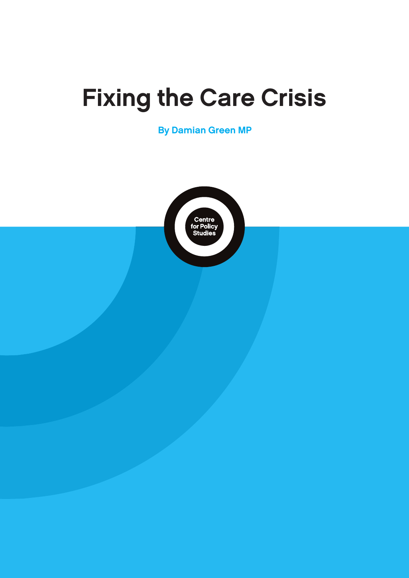## Fixing the Care Crisis

By Damian Green MP

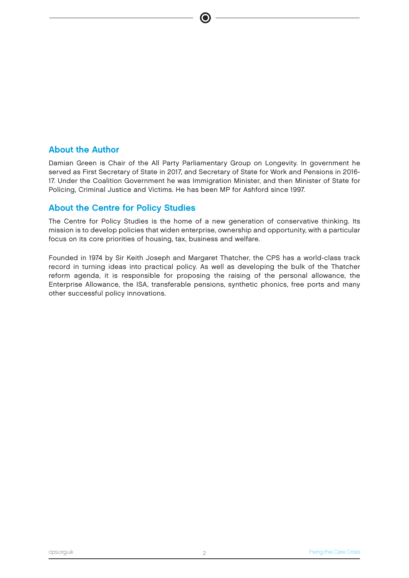#### About the Author

Damian Green is Chair of the All Party Parliamentary Group on Longevity. In government he served as First Secretary of State in 2017, and Secretary of State for Work and Pensions in 2016- 17. Under the Coalition Government he was Immigration Minister, and then Minister of State for Policing, Criminal Justice and Victims. He has been MP for Ashford since 1997.

#### About the Centre for Policy Studies

The Centre for Policy Studies is the home of a new generation of conservative thinking. Its mission is to develop policies that widen enterprise, ownership and opportunity, with a particular focus on its core priorities of housing, tax, business and welfare.

Founded in 1974 by Sir Keith Joseph and Margaret Thatcher, the CPS has a world-class track record in turning ideas into practical policy. As well as developing the bulk of the Thatcher reform agenda, it is responsible for proposing the raising of the personal allowance, the Enterprise Allowance, the ISA, transferable pensions, synthetic phonics, free ports and many other successful policy innovations.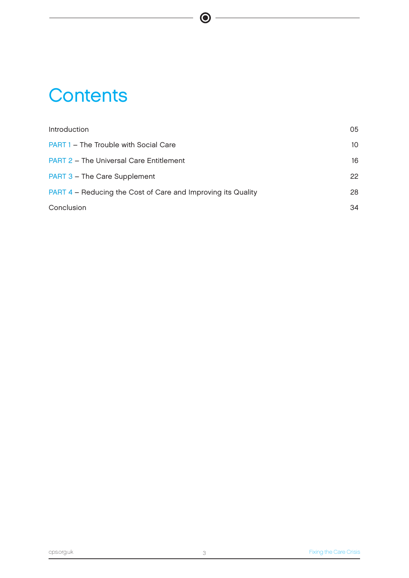## **Contents**

| Introduction                                                 | 05              |
|--------------------------------------------------------------|-----------------|
| <b>PART 1 - The Trouble with Social Care</b>                 | 10 <sup>2</sup> |
| <b>PART 2 - The Universal Care Entitlement</b>               | 16              |
| PART 3 - The Care Supplement                                 | 22              |
| PART 4 – Reducing the Cost of Care and Improving its Quality | 28              |
| Conclusion                                                   | 34              |

 $\bullet$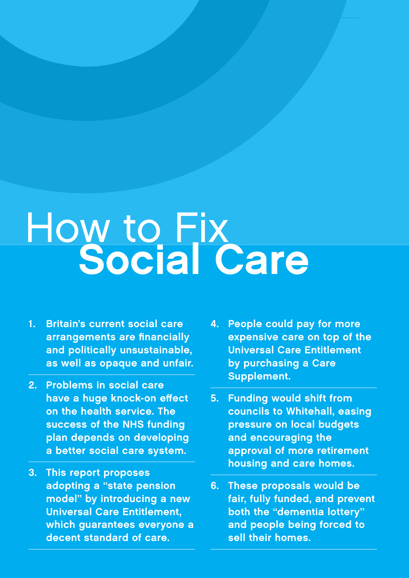# How to Fix<br>Social Care

- 1. Britain's current social care arrangements are financially and politically unsustainable, as well as opaque and unfair.
- 2. Problems in social care have a huge knock-on effect on the health service. The success of the NHS funding plan depends on developing a better social care system.
- 3. This report proposes adopting a "state pension model" by introducing a new Universal Care Entitlement, which guarantees everyone a decent standard of care.
- 4. People could pay for more expensive care on top of the Universal Care Entitlement by purchasing a Care Supplement.
- 5. Funding would shift from councils to Whitehall, easing pressure on local budgets and encouraging the approval of more retirement housing and care homes.
- 6. These proposals would be fair, fully funded, and prevent both the "dementia lottery" and people being forced to sell their homes.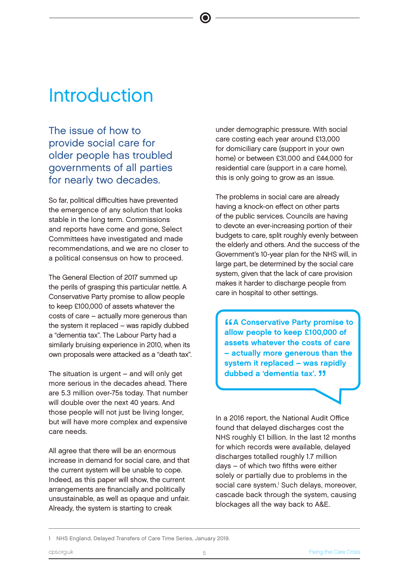## Introduction

The issue of how to provide social care for older people has troubled governments of all parties for nearly two decades.

So far, political difficulties have prevented the emergence of any solution that looks stable in the long term. Commissions and reports have come and gone, Select Committees have investigated and made recommendations, and we are no closer to a political consensus on how to proceed.

The General Election of 2017 summed up the perils of grasping this particular nettle. A Conservative Party promise to allow people to keep £100,000 of assets whatever the costs of care – actually more generous than the system it replaced – was rapidly dubbed a "dementia tax". The Labour Party had a similarly bruising experience in 2010, when its own proposals were attacked as a "death tax".

The situation is urgent – and will only get more serious in the decades ahead. There are 5.3 million over-75s today. That number will double over the next 40 years. And those people will not just be living longer, but will have more complex and expensive care needs.

All agree that there will be an enormous increase in demand for social care, and that the current system will be unable to cope. Indeed, as this paper will show, the current arrangements are financially and politically unsustainable, as well as opaque and unfair. Already, the system is starting to creak

under demographic pressure. With social care costing each year around £13,000 for domiciliary care (support in your own home) or between £31,000 and £44,000 for residential care (support in a care home), this is only going to grow as an issue.

The problems in social care are already having a knock-on effect on other parts of the public services. Councils are having to devote an ever-increasing portion of their budgets to care, split roughly evenly between the elderly and others. And the success of the Government's 10-year plan for the NHS will, in large part, be determined by the social care system, given that the lack of care provision makes it harder to discharge people from care in hospital to other settings.

**A Conservative Party promise to keep £100,000 of A Conservative Party promise to** assets whatever the costs of care – actually more generous than the system it replaced – was rapidly dubbed a 'dementia tax'. "

In a 2016 report, the National Audit Office found that delayed discharges cost the NHS roughly £1 billion. In the last 12 months for which records were available, delayed discharges totalled roughly 1.7 million days – of which two fifths were either solely or partially due to problems in the social care system.<sup>1</sup> Such delays, moreover, cascade back through the system, causing blockages all the way back to A&E.

<sup>1</sup> NHS England, Delayed Transfers of Care Time Series, January 2019.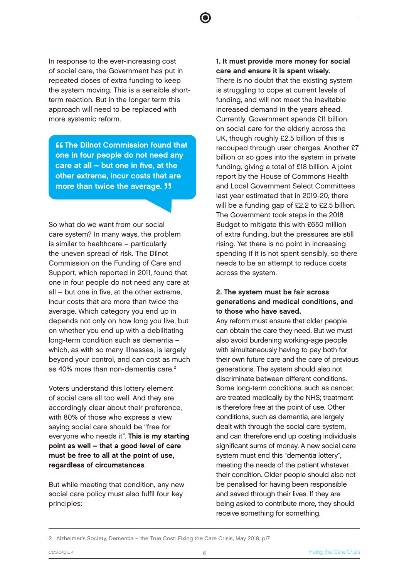In response to the ever-increasing cost of social care, the Government has put in repeated doses of extra funding to keep the system moving. This is a sensible shortterm reaction. But in the longer term this approach will need to be replaced with more systemic reform.

**"** The Dilnot Commission found that<br>one in four people do not need any<br>save at all shot are in five at the **ff The Dilnot Commission found that** care at all – but one in five, at the other extreme, incur costs that are more than twice the average. **11** 

So what do we want from our social care system? In many ways, the problem is similar to healthcare – particularly the uneven spread of risk. The Dilnot Commission on the Funding of Care and Support, which reported in 2011, found that one in four people do not need any care at all – but one in five, at the other extreme, incur costs that are more than twice the average. Which category you end up in depends not only on how long you live, but on whether you end up with a debilitating long-term condition such as dementia – which, as with so many illnesses, is largely beyond your control, and can cost as much as 40% more than non-dementia care.<sup>2</sup>

Voters understand this lottery element of social care all too well. And they are accordingly clear about their preference, with 80% of those who express a view saying social care should be "free for everyone who needs it". This is my starting point as well – that a good level of care must be free to all at the point of use, regardless of circumstances.

But while meeting that condition, any new social care policy must also fulfil four key principles:

1. It must provide more money for social care and ensure it is spent wisely. There is no doubt that the existing system

is struggling to cope at current levels of funding, and will not meet the inevitable increased demand in the years ahead. Currently, Government spends £11 billion on social care for the elderly across the UK, though roughly £2.5 billion of this is recouped through user charges. Another £7 billion or so goes into the system in private funding, giving a total of £18 billion. A joint report by the House of Commons Health and Local Government Select Committees last year estimated that in 2019-20, there will be a funding gap of £2.2 to £2.5 billion. The Government took steps in the 2018 Budget to mitigate this with £650 million of extra funding, but the pressures are still rising. Yet there is no point in increasing spending if it is not spent sensibly, so there needs to be an attempt to reduce costs across the system.

#### 2. The system must be fair across generations and medical conditions, and to those who have saved.

Any reform must ensure that older people can obtain the care they need. But we must also avoid burdening working-age people with simultaneously having to pay both for their own future care and the care of previous generations. The system should also not discriminate between different conditions. Some long-term conditions, such as cancer, are treated medically by the NHS; treatment is therefore free at the point of use. Other conditions, such as dementia, are largely dealt with through the social care system, and can therefore end up costing individuals significant sums of money. A new social care system must end this "dementia lottery", meeting the needs of the patient whatever their condition. Older people should also not be penalised for having been responsible and saved through their lives. If they are being asked to contribute more, they should receive something for something.

<sup>2</sup> Alzheimer's Society, Dementia – the True Cost: Fixing the Care Crisis, May 2018, p17.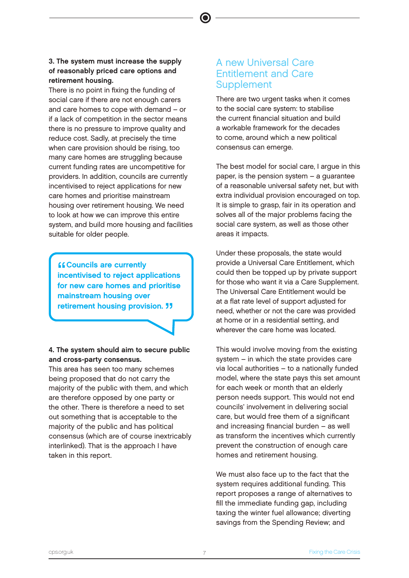#### 3. The system must increase the supply of reasonably priced care options and retirement housing.

There is no point in fixing the funding of social care if there are not enough carers and care homes to cope with demand – or if a lack of competition in the sector means there is no pressure to improve quality and reduce cost. Sadly, at precisely the time when care provision should be rising, too many care homes are struggling because current funding rates are uncompetitive for providers. In addition, councils are currently incentivised to reject applications for new care homes and prioritise mainstream housing over retirement housing. We need to look at how we can improve this entire system, and build more housing and facilities suitable for older people.

**"** Councils are currently<br>
incentivised to reject applications<br>
for now oare hames and priscities **ff Councils are currently** for new care homes and prioritise mainstream housing over retirement housing provision. **11** 

#### 4. The system should aim to secure public and cross-party consensus.

This area has seen too many schemes being proposed that do not carry the majority of the public with them, and which are therefore opposed by one party or the other. There is therefore a need to set out something that is acceptable to the majority of the public and has political consensus (which are of course inextricably interlinked). That is the approach I have taken in this report.

#### A new Universal Care Entitlement and Care **Supplement**

There are two urgent tasks when it comes to the social care system: to stabilise the current financial situation and build a workable framework for the decades to come, around which a new political consensus can emerge.

The best model for social care, I argue in this paper, is the pension system – a guarantee of a reasonable universal safety net, but with extra individual provision encouraged on top. It is simple to grasp, fair in its operation and solves all of the major problems facing the social care system, as well as those other areas it impacts.

Under these proposals, the state would provide a Universal Care Entitlement, which could then be topped up by private support for those who want it via a Care Supplement. The Universal Care Entitlement would be at a flat rate level of support adjusted for need, whether or not the care was provided at home or in a residential setting, and wherever the care home was located.

This would involve moving from the existing system – in which the state provides care via local authorities – to a nationally funded model, where the state pays this set amount for each week or month that an elderly person needs support. This would not end councils' involvement in delivering social care, but would free them of a significant and increasing financial burden – as well as transform the incentives which currently prevent the construction of enough care homes and retirement housing.

We must also face up to the fact that the system requires additional funding. This report proposes a range of alternatives to fill the immediate funding gap, including taxing the winter fuel allowance; diverting savings from the Spending Review; and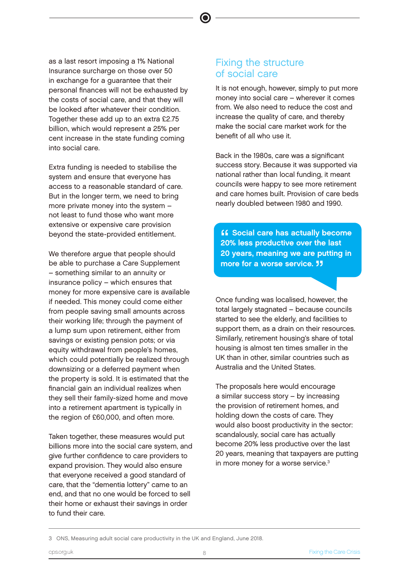as a last resort imposing a 1% National Insurance surcharge on those over 50 in exchange for a guarantee that their personal finances will not be exhausted by the costs of social care, and that they will be looked after whatever their condition. Together these add up to an extra £2.75 billion, which would represent a 25% per cent increase in the state funding coming into social care.

Extra funding is needed to stabilise the system and ensure that everyone has access to a reasonable standard of care. But in the longer term, we need to bring more private money into the system – not least to fund those who want more extensive or expensive care provision beyond the state-provided entitlement.

We therefore argue that people should be able to purchase a Care Supplement – something similar to an annuity or insurance policy – which ensures that money for more expensive care is available if needed. This money could come either from people saving small amounts across their working life; through the payment of a lump sum upon retirement, either from savings or existing pension pots; or via equity withdrawal from people's homes, which could potentially be realized through downsizing or a deferred payment when the property is sold. It is estimated that the financial gain an individual realizes when they sell their family-sized home and move into a retirement apartment is typically in the region of £60,000, and often more.

Taken together, these measures would put billions more into the social care system, and give further confidence to care providers to expand provision. They would also ensure that everyone received a good standard of care, that the "dementia lottery" came to an end, and that no one would be forced to sell their home or exhaust their savings in order to fund their care.

#### Fixing the structure of social care

It is not enough, however, simply to put more money into social care – wherever it comes from. We also need to reduce the cost and increase the quality of care, and thereby make the social care market work for the benefit of all who use it.

Back in the 1980s, care was a significant success story. Because it was supported via national rather than local funding, it meant councils were happy to see more retirement and care homes built. Provision of care beds nearly doubled between 1980 and 1990.

**11** Social care has actually becom<br>20% less productive over the last<br>20 years magning we are putting **ff** Social care has actually become 20 years, meaning we are putting in more for a worse service. **JJ** 

Once funding was localised, however, the total largely stagnated – because councils started to see the elderly, and facilities to support them, as a drain on their resources. Similarly, retirement housing's share of total housing is almost ten times smaller in the UK than in other, similar countries such as Australia and the United States.

The proposals here would encourage a similar success story – by increasing the provision of retirement homes, and holding down the costs of care. They would also boost productivity in the sector: scandalously, social care has actually become 20% less productive over the last 20 years, meaning that taxpayers are putting in more money for a worse service.3

<sup>3</sup> ONS, Measuring adult social care productivity in the UK and England, June 2018.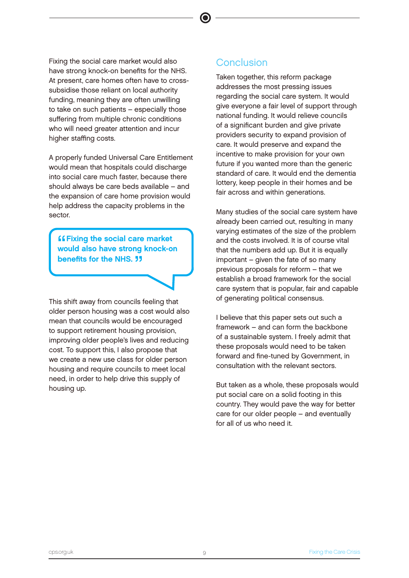Fixing the social care market would also have strong knock-on benefits for the NHS. At present, care homes often have to crosssubsidise those reliant on local authority funding, meaning they are often unwilling to take on such patients – especially those suffering from multiple chronic conditions who will need greater attention and incur higher staffing costs.

A properly funded Universal Care Entitlement would mean that hospitals could discharge into social care much faster, because there should always be care beds available – and the expansion of care home provision would help address the capacity problems in the sector.

**"** Fixing the social care market<br>would also have strong knock-or would also have strong knock-on benefits for the NHS. **11** 

This shift away from councils feeling that older person housing was a cost would also mean that councils would be encouraged to support retirement housing provision, improving older people's lives and reducing cost. To support this, I also propose that we create a new use class for older person housing and require councils to meet local need, in order to help drive this supply of housing up.

#### **Conclusion**

Taken together, this reform package addresses the most pressing issues regarding the social care system. It would give everyone a fair level of support through national funding. It would relieve councils of a significant burden and give private providers security to expand provision of care. It would preserve and expand the incentive to make provision for your own future if you wanted more than the generic standard of care. It would end the dementia lottery, keep people in their homes and be fair across and within generations.

Many studies of the social care system have already been carried out, resulting in many varying estimates of the size of the problem and the costs involved. It is of course vital that the numbers add up. But it is equally important – given the fate of so many previous proposals for reform – that we establish a broad framework for the social care system that is popular, fair and capable of generating political consensus.

I believe that this paper sets out such a framework – and can form the backbone of a sustainable system. I freely admit that these proposals would need to be taken forward and fine-tuned by Government, in consultation with the relevant sectors.

But taken as a whole, these proposals would put social care on a solid footing in this country. They would pave the way for better care for our older people – and eventually for all of us who need it.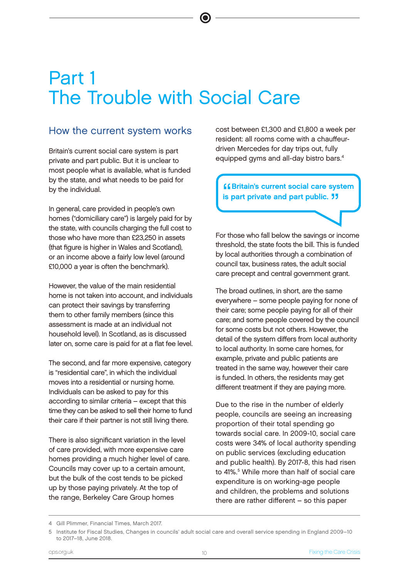## Part 1 The Trouble with Social Care

#### How the current system works

Britain's current social care system is part private and part public. But it is unclear to most people what is available, what is funded by the state, and what needs to be paid for by the individual.

In general, care provided in people's own homes ("domiciliary care") is largely paid for by the state, with councils charging the full cost to those who have more than £23,250 in assets (that figure is higher in Wales and Scotland), or an income above a fairly low level (around £10,000 a year is often the benchmark).

However, the value of the main residential home is not taken into account, and individuals can protect their savings by transferring them to other family members (since this assessment is made at an individual not household level). In Scotland, as is discussed later on, some care is paid for at a flat fee level.

The second, and far more expensive, category is "residential care", in which the individual moves into a residential or nursing home. Individuals can be asked to pay for this according to similar criteria – except that this time they can be asked to sell their home to fund their care if their partner is not still living there.

There is also significant variation in the level of care provided, with more expensive care homes providing a much higher level of care. Councils may cover up to a certain amount, but the bulk of the cost tends to be picked up by those paying privately. At the top of the range, Berkeley Care Group homes

cost between £1,300 and £1,800 a week per resident: all rooms come with a chauffeurdriven Mercedes for day trips out, fully equipped gyms and all-day bistro bars.4

"<br>"<br>" **ff Britain's current social care system** is part private and part public. "

For those who fall below the savings or income threshold, the state foots the bill. This is funded by local authorities through a combination of council tax, business rates, the adult social care precept and central government grant.

The broad outlines, in short, are the same everywhere – some people paying for none of their care; some people paying for all of their care; and some people covered by the council for some costs but not others. However, the detail of the system differs from local authority to local authority. In some care homes, for example, private and public patients are treated in the same way, however their care is funded. In others, the residents may get different treatment if they are paying more.

Due to the rise in the number of elderly people, councils are seeing an increasing proportion of their total spending go towards social care. In 2009-10, social care costs were 34% of local authority spending on public services (excluding education and public health). By 2017-8, this had risen to 41%.<sup>5</sup> While more than half of social care expenditure is on working-age people and children, the problems and solutions there are rather different – so this paper

<sup>4</sup> Gill Plimmer, Financial Times, March 2017.

<sup>5</sup> Institute for Fiscal Studies, Changes in councils' adult social care and overall service spending in England 2009–10 to 2017–18, June 2018.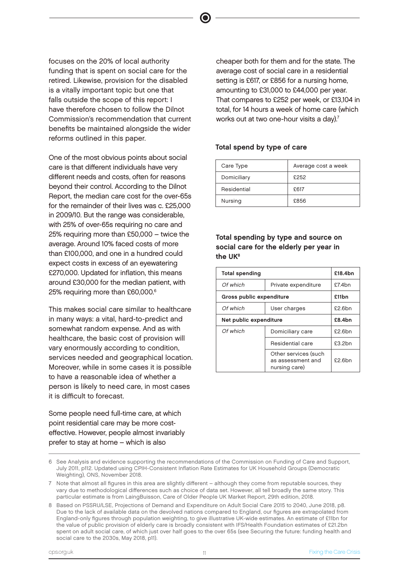focuses on the 20% of local authority funding that is spent on social care for the retired. Likewise, provision for the disabled is a vitally important topic but one that falls outside the scope of this report: I have therefore chosen to follow the Dilnot Commission's recommendation that current benefits be maintained alongside the wider reforms outlined in this paper.

One of the most obvious points about social care is that different individuals have very different needs and costs, often for reasons beyond their control. According to the Dilnot Report, the median care cost for the over-65s for the remainder of their lives was c. £25,000 in 2009/10. But the range was considerable, with 25% of over-65s requiring no care and 25% requiring more than £50,000 – twice the average. Around 10% faced costs of more than £100,000, and one in a hundred could expect costs in excess of an eyewatering £270,000. Updated for inflation, this means around £30,000 for the median patient, with 25% requiring more than £60,000.6

This makes social care similar to healthcare in many ways: a vital, hard-to-predict and somewhat random expense. And as with healthcare, the basic cost of provision will vary enormously according to condition, services needed and geographical location. Moreover, while in some cases it is possible to have a reasonable idea of whether a person is likely to need care, in most cases it is difficult to forecast.

Some people need full-time care, at which point residential care may be more costeffective. However, people almost invariably prefer to stay at home – which is also

cheaper both for them and for the state. The average cost of social care in a residential setting is £617, or £856 for a nursing home, amounting to £31,000 to £44,000 per year. That compares to £252 per week, or £13,104 in total, for 14 hours a week of home care (which works out at two one-hour visits a day).<sup>7</sup>

#### Total spend by type of care

| Care Type   | Average cost a week |  |
|-------------|---------------------|--|
| Domiciliary | £252                |  |
| Residential | £617                |  |
| Nursing     | £856                |  |

Total spending by type and source on social care for the elderly per year in the UK8

| <b>Total spending</b>    |                                                            | £18.4bn   |
|--------------------------|------------------------------------------------------------|-----------|
| Of which                 | Private expenditure                                        | £7.4bn    |
| Gross public expenditure |                                                            | £11bn     |
| Of which                 | User charges                                               | £2.6bn    |
| Net public expenditure   |                                                            | £8.4bn    |
| Of which                 | Domiciliary care                                           | $f2.6$ bn |
|                          | Residential care                                           | £3.2bn    |
|                          | Other services (such<br>as assessment and<br>nursing care) | £2.6bn    |

<sup>6</sup> See Analysis and evidence supporting the recommendations of the Commission on Funding of Care and Support, July 2011, p112. Updated using CPIH-Consistent Inflation Rate Estimates for UK Household Groups (Democratic Weighting), ONS, November 2018.

<sup>7</sup> Note that almost all figures in this area are slightly different – although they come from reputable sources, they vary due to methodological differences such as choice of data set. However, all tell broadly the same story. This particular estimate is from LaingBuisson, Care of Older People UK Market Report, 29th edition, 2018.

<sup>8</sup> Based on PSSRU/LSE, Projections of Demand and Expenditure on Adult Social Care 2015 to 2040, June 2018, p8. Due to the lack of available data on the devolved nations compared to England, our figures are extrapolated from England-only figures through population weighting, to give illustrative UK-wide estimates. An estimate of £11bn for the value of public provision of elderly care is broadly consistent with IFS/Health Foundation estimates of £21.2bn spent on adult social care, of which just over half goes to the over 65s (see Securing the future: funding health and social care to the 2030s, May 2018, p11).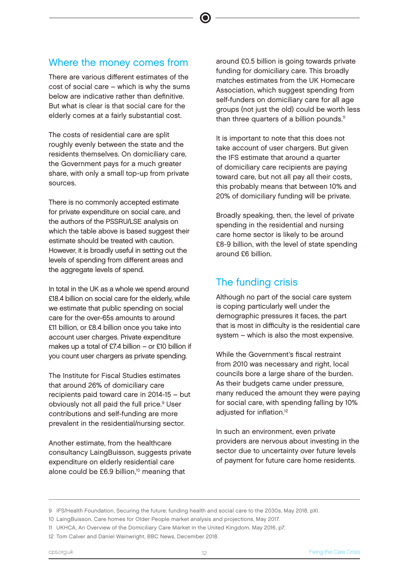#### Where the money comes from

There are various different estimates of the cost of social care – which is why the sums below are indicative rather than definitive. But what is clear is that social care for the elderly comes at a fairly substantial cost.

The costs of residential care are split roughly evenly between the state and the residents themselves. On domiciliary care, the Government pays for a much greater share, with only a small top-up from private sources.

There is no commonly accepted estimate for private expenditure on social care, and the authors of the PSSRU/LSE analysis on which the table above is based suggest their estimate should be treated with caution. However, it is broadly useful in setting out the levels of spending from different areas and the aggregate levels of spend.

In total in the UK as a whole we spend around £18.4 billion on social care for the elderly, while we estimate that public spending on social care for the over-65s amounts to around £11 billion, or £8.4 billion once you take into account user charges. Private expenditure makes up a total of £7.4 billion – or £10 billion if you count user chargers as private spending.

The Institute for Fiscal Studies estimates that around 26% of domiciliary care recipients paid toward care in 2014-15 – but obviously not all paid the full price.<sup>9</sup> User contributions and self-funding are more prevalent in the residential/nursing sector.

Another estimate, from the healthcare consultancy LaingBuisson, suggests private expenditure on elderly residential care alone could be £6.9 billion,<sup>10</sup> meaning that

around £0.5 billion is going towards private funding for domiciliary care. This broadly matches estimates from the UK Homecare Association, which suggest spending from self-funders on domiciliary care for all age groups (not just the old) could be worth less than three quarters of a billion pounds.<sup>11</sup>

It is important to note that this does not take account of user chargers. But given the IFS estimate that around a quarter of domiciliary care recipients are paying toward care, but not all pay all their costs, this probably means that between 10% and 20% of domiciliary funding will be private.

Broadly speaking, then, the level of private spending in the residential and nursing care home sector is likely to be around £8-9 billion, with the level of state spending around £6 billion.

#### The funding crisis

Although no part of the social care system is coping particularly well under the demographic pressures it faces, the part that is most in difficulty is the residential care system – which is also the most expensive.

While the Government's fiscal restraint from 2010 was necessary and right, local councils bore a large share of the burden. As their budgets came under pressure, many reduced the amount they were paying for social care, with spending falling by 10% adjusted for inflation.<sup>12</sup>

In such an environment, even private providers are nervous about investing in the sector due to uncertainty over future levels of payment for future care home residents.

<sup>9</sup> IFS/Health Foundation, Securing the future: funding health and social care to the 2030s, May 2018, pXI.

<sup>10</sup> LaingBuisson, Care homes for Older People market analysis and projections, May 2017.

<sup>11</sup> UKHCA, An Overview of the Domiciliary Care Market in the United Kingdom, May 2016, p7.

<sup>12</sup> Tom Calver and Daniel Wainwright, BBC News, December 2018.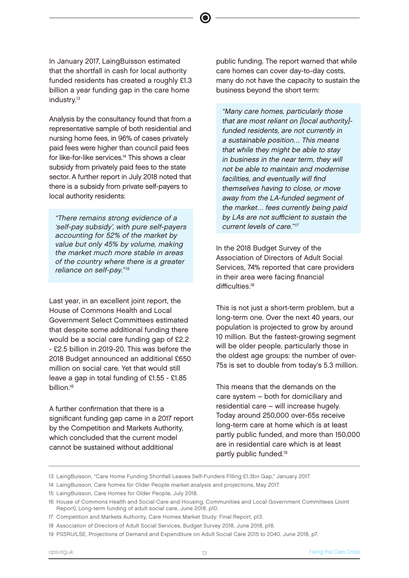nursing home fees, in 96% of cases privately paid fees were higher than council paid fees for like-for-like services.14 This shows a clear

subsidy from privately paid fees to the state sector. A further report in July 2018 noted that there is a subsidy from private self-payers to local authority residents:

Analysis by the consultancy found that from a representative sample of both residential and

In January 2017, LaingBuisson estimated that the shortfall in cash for local authority funded residents has created a roughly £1.3 billion a year funding gap in the care home

industry.<sup>13</sup>

"There remains strong evidence of a 'self-pay subsidy', with pure self-payers accounting for 52% of the market by value but only 45% by volume, making the market much more stable in areas of the country where there is a greater reliance on self-pay."<sup>15</sup>

Last year, in an excellent joint report, the House of Commons Health and Local Government Select Committees estimated that despite some additional funding there would be a social care funding gap of £2.2 - £2.5 billion in 2019-20. This was before the 2018 Budget announced an additional £650 million on social care. Yet that would still leave a gap in total funding of £1.55 - £1.85 billion.<sup>16</sup>

A further confirmation that there is a significant funding gap came in a 2017 report by the Competition and Markets Authority, which concluded that the current model cannot be sustained without additional

public funding. The report warned that while care homes can cover day-to-day costs, many do not have the capacity to sustain the business beyond the short term:

"Many care homes, particularly those that are most reliant on [local authority] funded residents, are not currently in a sustainable position… This means that while they might be able to stay in business in the near term, they will not be able to maintain and modernise facilities, and eventually will find themselves having to close, or move away from the LA-funded segment of the market… fees currently being paid by LAs are not sufficient to sustain the current levels of care."<sup>17</sup>

In the 2018 Budget Survey of the Association of Directors of Adult Social Services, 74% reported that care providers in their area were facing financial difficulties.<sup>18</sup>

This is not just a short-term problem, but a long-term one. Over the next 40 years, our population is projected to grow by around 10 million. But the fastest-growing segment will be older people, particularly those in the oldest age groups: the number of over-75s is set to double from today's 5.3 million.

This means that the demands on the care system – both for domiciliary and residential care – will increase hugely. Today around 250,000 over-65s receive long-term care at home which is at least partly public funded, and more than 150,000 are in residential care which is at least partly public funded.19

<sup>13</sup> LaingBuisson, "Care Home Funding Shortfall Leaves Self-Funders Filling £1.3bn Gap," January 2017.

<sup>14</sup> LaingBuisson, Care homes for Older People market analysis and projections, May 2017.

<sup>15</sup> LaingBuisson, Care Homes for Older People, July 2018.

<sup>16</sup> House of Commons Health and Social Care and Housing, Communities and Local Government Committees (Joint Report), Long-term funding of adult social care, June 2018, p10.

<sup>17</sup> Competition and Markets Authority, Care Homes Market Study: Final Report, p13.

<sup>18</sup> Association of Directors of Adult Social Services, Budget Survey 2018, June 2018, p18.

<sup>19</sup> PSSRU/LSE, Projections of Demand and Expenditure on Adult Social Care 2015 to 2040, June 2018, p7.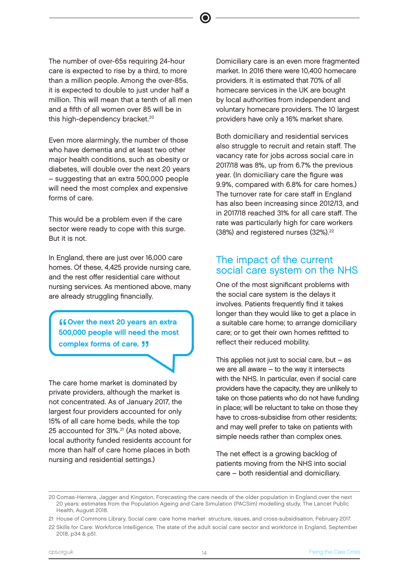The number of over-65s requiring 24-hour care is expected to rise by a third, to more than a million people. Among the over-85s, it is expected to double to just under half a million. This will mean that a tenth of all men and a fifth of all women over 85 will be in this high-dependency bracket.<sup>20</sup>

Even more alarmingly, the number of those who have dementia and at least two other major health conditions, such as obesity or diabetes, will double over the next 20 years – suggesting that an extra 500,000 people will need the most complex and expensive forms of care.

This would be a problem even if the care sector were ready to cope with this surge. But it is not.

In England, there are just over 16,000 care homes. Of these, 4,425 provide nursing care, and the rest offer residential care without nursing services. As mentioned above, many are already struggling financially.

Cover the next 20 years an extra<br>500,000 people will need the most **ff Over the next 20 years an extral** complex forms of care. "

The care home market is dominated by private providers, although the market is not concentrated. As of January 2017, the largest four providers accounted for only 15% of all care home beds, while the top 25 accounted for 31%.21 (As noted above, local authority funded residents account for more than half of care home places in both nursing and residential settings.)

Domiciliary care is an even more fragmented market. In 2016 there were 10,400 homecare providers. It is estimated that 70% of all homecare services in the UK are bought by local authorities from independent and voluntary homecare providers. The 10 largest providers have only a 16% market share.

Both domiciliary and residential services also struggle to recruit and retain staff. The vacancy rate for jobs across social care in 2017/18 was 8%, up from 6.7% the previous year. (In domiciliary care the figure was 9.9%, compared with 6.8% for care homes.) The turnover rate for care staff in England has also been increasing since 2012/13, and in 2017/18 reached 31% for all care staff. The rate was particularly high for care workers (38%) and registered nurses (32%).<sup>22</sup>

#### The impact of the current social care system on the NHS

One of the most significant problems with the social care system is the delays it involves. Patients frequently find it takes longer than they would like to get a place in a suitable care home; to arrange domiciliary care; or to get their own homes refitted to reflect their reduced mobility.

This applies not just to social care, but  $-$  as we are all aware – to the way it intersects with the NHS. In particular, even if social care providers have the capacity, they are unlikely to take on those patients who do not have funding in place; will be reluctant to take on those they have to cross-subsidise from other residents; and may well prefer to take on patients with simple needs rather than complex ones.

The net effect is a growing backlog of patients moving from the NHS into social care – both residential and domiciliary.

<sup>20</sup> Comas-Herrera, Jagger and Kingston, Forecasting the care needs of the older population in England over the next 20 years: estimates from the Population Ageing and Care Simulation (PACSim) modelling study, The Lancet Public Health, August 2018.

<sup>21</sup> House of Commons Library, Social care: care home market structure, issues, and cross-subsidisation, February 2017.

<sup>22</sup> Skills for Care: Workforce Intelligence, The state of the adult social care sector and workforce in England, September 2018, p34 & p51.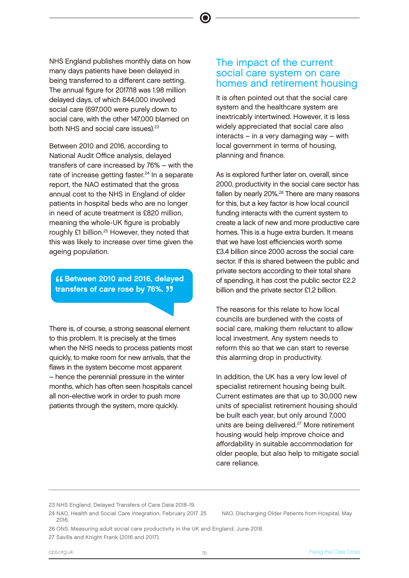NHS England publishes monthly data on how many days patients have been delayed in being transferred to a different care setting. The annual figure for 2017/18 was 1.98 million delayed days, of which 844,000 involved social care (697,000 were purely down to social care, with the other 147,000 blamed on both NHS and social care issues).<sup>23</sup>

Between 2010 and 2016, according to National Audit Office analysis, delayed transfers of care increased by 76% – with the rate of increase getting faster.<sup>24</sup> In a separate report, the NAO estimated that the gross annual cost to the NHS in England of older patients in hospital beds who are no longer in need of acute treatment is £820 million, meaning the whole-UK figure is probably roughly £1 billion.<sup>25</sup> However, they noted that this was likely to increase over time given the ageing population.

⊈⊈ Between 2010 and 2016, delayed<br>transfers of care rose by 76%. <mark>JJ</mark> transfers of care rose by 76%. **JJ** 

There is, of course, a strong seasonal element to this problem. It is precisely at the times when the NHS needs to process patients most quickly, to make room for new arrivals, that the flaws in the system become most apparent – hence the perennial pressure in the winter months, which has often seen hospitals cancel all non-elective work in order to push more patients through the system, more quickly.

#### The impact of the current social care system on care homes and retirement housing

It is often pointed out that the social care system and the healthcare system are inextricably intertwined. However, it is less widely appreciated that social care also interacts – in a very damaging way – with local government in terms of housing, planning and finance.

As is explored further later on, overall, since 2000, productivity in the social care sector has fallen by nearly 20%.<sup>26</sup> There are many reasons for this, but a key factor is how local council funding interacts with the current system to create a lack of new and more productive care homes. This is a huge extra burden. It means that we have lost efficiencies worth some £3.4 billion since 2000 across the social care sector. If this is shared between the public and private sectors according to their total share of spending, it has cost the public sector £2.2 billion and the private sector £1.2 billion.

The reasons for this relate to how local councils are burdened with the costs of social care, making them reluctant to allow local investment. Any system needs to reform this so that we can start to reverse this alarming drop in productivity.

In addition, the UK has a very low level of specialist retirement housing being built. Current estimates are that up to 30,000 new units of specialist retirement housing should be built each year, but only around 7,000 units are being delivered.<sup>27</sup> More retirement housing would help improve choice and affordability in suitable accommodation for older people, but also help to mitigate social care reliance.

24 NAO, Health and Social Care Integration, February 2017. 25 NAO, Discharging Older Patients from Hospital, May 2016.

- 26 ONS, Measuring adult social care productivity in the UK and England, June 2018.
- 27 Savills and Knight Frank (2016 and 2017).

<sup>23</sup> NHS England, Delayed Transfers of Care Data 2018-19.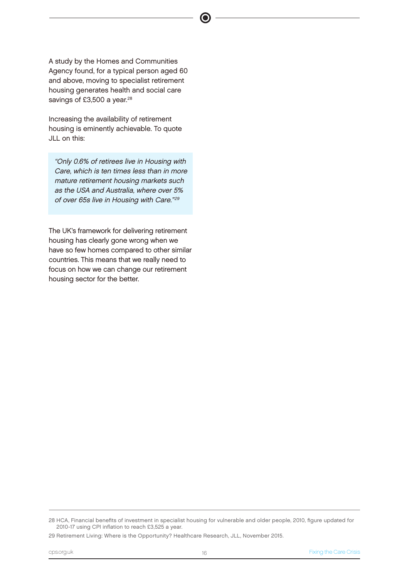A study by the Homes and Communities Agency found, for a typical person aged 60 and above, moving to specialist retirement housing generates health and social care savings of £3,500 a year.<sup>28</sup>

Increasing the availability of retirement housing is eminently achievable. To quote JLL on this:

"Only 0.6% of retirees live in Housing with Care, which is ten times less than in more mature retirement housing markets such as the USA and Australia, where over 5% of over 65s live in Housing with Care."<sup>29</sup>

The UK's framework for delivering retirement housing has clearly gone wrong when we have so few homes compared to other similar countries. This means that we really need to focus on how we can change our retirement housing sector for the better.

<sup>28</sup> HCA, Financial benefits of investment in specialist housing for vulnerable and older people, 2010, figure updated for 2010-17 using CPI inflation to reach £3,525 a year.

<sup>29</sup> Retirement Living: Where is the Opportunity? Healthcare Research, JLL, November 2015.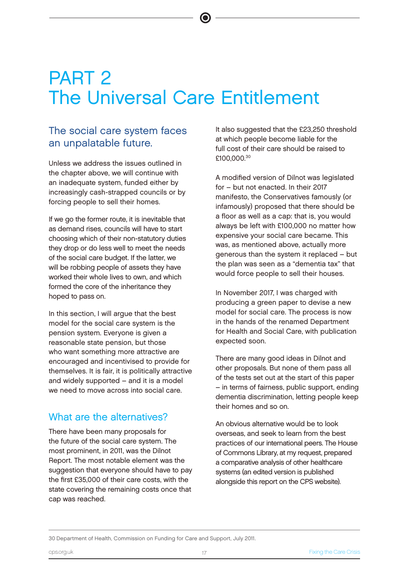## PART 2 The Universal Care Entitlement

 $\bullet$ 

#### The social care system faces an unpalatable future.

Unless we address the issues outlined in the chapter above, we will continue with an inadequate system, funded either by increasingly cash-strapped councils or by forcing people to sell their homes.

If we go the former route, it is inevitable that as demand rises, councils will have to start choosing which of their non-statutory duties they drop or do less well to meet the needs of the social care budget. If the latter, we will be robbing people of assets they have worked their whole lives to own, and which formed the core of the inheritance they hoped to pass on.

In this section, I will argue that the best model for the social care system is the pension system. Everyone is given a reasonable state pension, but those who want something more attractive are encouraged and incentivised to provide for themselves. It is fair, it is politically attractive and widely supported – and it is a model we need to move across into social care.

#### What are the alternatives?

There have been many proposals for the future of the social care system. The most prominent, in 2011, was the Dilnot Report. The most notable element was the suggestion that everyone should have to pay the first £35,000 of their care costs, with the state covering the remaining costs once that cap was reached.

It also suggested that the £23,250 threshold at which people become liable for the full cost of their care should be raised to £100.000.30

A modified version of Dilnot was legislated for – but not enacted. In their 2017 manifesto, the Conservatives famously (or infamously) proposed that there should be a floor as well as a cap: that is, you would always be left with £100,000 no matter how expensive your social care became. This was, as mentioned above, actually more generous than the system it replaced – but the plan was seen as a "dementia tax" that would force people to sell their houses.

In November 2017, I was charged with producing a green paper to devise a new model for social care. The process is now in the hands of the renamed Department for Health and Social Care, with publication expected soon.

There are many good ideas in Dilnot and other proposals. But none of them pass all of the tests set out at the start of this paper – in terms of fairness, public support, ending dementia discrimination, letting people keep their homes and so on.

An obvious alternative would be to look overseas, and seek to learn from the best practices of our international peers. The House of Commons Library, at my request, prepared a comparative analysis of other healthcare systems (an edited version is published alongside this report on the CPS website).

30 Department of Health, Commission on Funding for Care and Support, July 2011.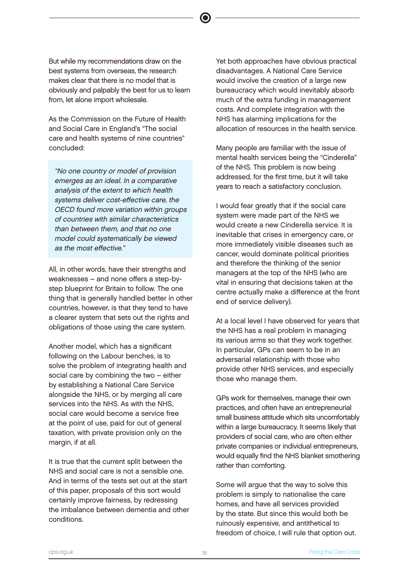But while my recommendations draw on the best systems from overseas, the research makes clear that there is no model that is obviously and palpably the best for us to learn from, let alone import wholesale.

As the Commission on the Future of Health and Social Care in England's "The social care and health systems of nine countries" concluded:

"No one country or model of provision emerges as an ideal. In a comparative analysis of the extent to which health systems deliver cost-effective care, the OECD found more variation within groups of countries with similar characteristics than between them, and that no one model could systematically be viewed as the most effective."

All, in other words, have their strengths and weaknesses – and none offers a step-bystep blueprint for Britain to follow. The one thing that is generally handled better in other countries, however, is that they tend to have a clearer system that sets out the rights and obligations of those using the care system.

Another model, which has a significant following on the Labour benches, is to solve the problem of integrating health and social care by combining the two – either by establishing a National Care Service alongside the NHS, or by merging all care services into the NHS. As with the NHS, social care would become a service free at the point of use, paid for out of general taxation, with private provision only on the margin, if at all.

It is true that the current split between the NHS and social care is not a sensible one. And in terms of the tests set out at the start of this paper, proposals of this sort would certainly improve fairness, by redressing the imbalance between dementia and other conditions.

Yet both approaches have obvious practical disadvantages. A National Care Service would involve the creation of a large new bureaucracy which would inevitably absorb much of the extra funding in management costs. And complete integration with the NHS has alarming implications for the allocation of resources in the health service.

Many people are familiar with the issue of mental health services being the "Cinderella" of the NHS. This problem is now being addressed, for the first time, but it will take years to reach a satisfactory conclusion.

I would fear greatly that if the social care system were made part of the NHS we would create a new Cinderella service. It is inevitable that crises in emergency care, or more immediately visible diseases such as cancer, would dominate political priorities and therefore the thinking of the senior managers at the top of the NHS (who are vital in ensuring that decisions taken at the centre actually make a difference at the front end of service delivery).

At a local level I have observed for years that the NHS has a real problem in managing its various arms so that they work together. In particular, GPs can seem to be in an adversarial relationship with those who provide other NHS services, and especially those who manage them.

GPs work for themselves, manage their own practices, and often have an entrepreneurial small business attitude which sits uncomfortably within a large bureaucracy. It seems likely that providers of social care, who are often either private companies or individual entrepreneurs, would equally find the NHS blanket smothering rather than comforting.

Some will argue that the way to solve this problem is simply to nationalise the care homes, and have all services provided by the state. But since this would both be ruinously expensive, and antithetical to freedom of choice, I will rule that option out.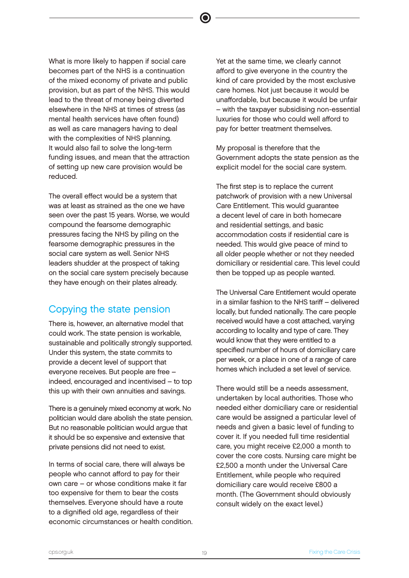What is more likely to happen if social care becomes part of the NHS is a continuation of the mixed economy of private and public provision, but as part of the NHS. This would lead to the threat of money being diverted elsewhere in the NHS at times of stress (as mental health services have often found) as well as care managers having to deal with the complexities of NHS planning. It would also fail to solve the long-term funding issues, and mean that the attraction of setting up new care provision would be reduced.

The overall effect would be a system that was at least as strained as the one we have seen over the past 15 years. Worse, we would compound the fearsome demographic pressures facing the NHS by piling on the fearsome demographic pressures in the social care system as well. Senior NHS leaders shudder at the prospect of taking on the social care system precisely because they have enough on their plates already.

#### Copying the state pension

There is, however, an alternative model that could work. The state pension is workable, sustainable and politically strongly supported. Under this system, the state commits to provide a decent level of support that everyone receives. But people are free – indeed, encouraged and incentivised – to top this up with their own annuities and savings.

There is a genuinely mixed economy at work. No politician would dare abolish the state pension. But no reasonable politician would argue that it should be so expensive and extensive that private pensions did not need to exist.

In terms of social care, there will always be people who cannot afford to pay for their own care – or whose conditions make it far too expensive for them to bear the costs themselves. Everyone should have a route to a dignified old age, regardless of their economic circumstances or health condition. Yet at the same time, we clearly cannot afford to give everyone in the country the kind of care provided by the most exclusive care homes. Not just because it would be unaffordable, but because it would be unfair – with the taxpayer subsidising non-essential luxuries for those who could well afford to pay for better treatment themselves.

My proposal is therefore that the Government adopts the state pension as the explicit model for the social care system.

The first step is to replace the current patchwork of provision with a new Universal Care Entitlement. This would guarantee a decent level of care in both homecare and residential settings, and basic accommodation costs if residential care is needed. This would give peace of mind to all older people whether or not they needed domiciliary or residential care. This level could then be topped up as people wanted.

The Universal Care Entitlement would operate in a similar fashion to the NHS tariff – delivered locally, but funded nationally. The care people received would have a cost attached, varying according to locality and type of care. They would know that they were entitled to a specified number of hours of domiciliary care per week, or a place in one of a range of care homes which included a set level of service.

There would still be a needs assessment, undertaken by local authorities. Those who needed either domiciliary care or residential care would be assigned a particular level of needs and given a basic level of funding to cover it. If you needed full time residential care, you might receive £2,000 a month to cover the core costs. Nursing care might be £2,500 a month under the Universal Care Entitlement, while people who required domiciliary care would receive £800 a month. (The Government should obviously consult widely on the exact level.)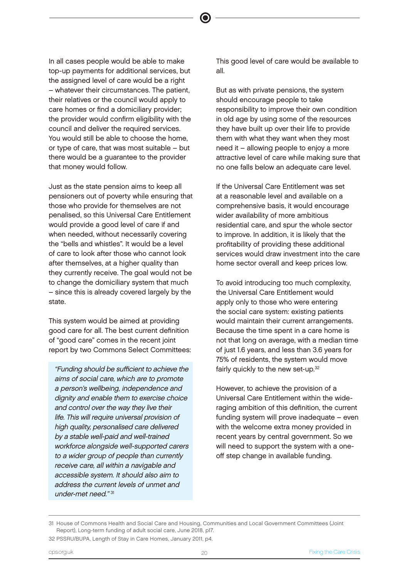In all cases people would be able to make top-up payments for additional services, but the assigned level of care would be a right – whatever their circumstances. The patient, their relatives or the council would apply to care homes or find a domiciliary provider; the provider would confirm eligibility with the council and deliver the required services. You would still be able to choose the home, or type of care, that was most suitable – but there would be a guarantee to the provider that money would follow.

Just as the state pension aims to keep all pensioners out of poverty while ensuring that those who provide for themselves are not penalised, so this Universal Care Entitlement would provide a good level of care if and when needed, without necessarily covering the "bells and whistles". It would be a level of care to look after those who cannot look after themselves, at a higher quality than they currently receive. The goal would not be to change the domiciliary system that much – since this is already covered largely by the state.

This system would be aimed at providing good care for all. The best current definition of "good care" comes in the recent joint report by two Commons Select Committees:

"Funding should be sufficient to achieve the aims of social care, which are to promote a person's wellbeing, independence and dignity and enable them to exercise choice and control over the way they live their life. This will require universal provision of high quality, personalised care delivered by a stable well-paid and well-trained workforce alongside well-supported carers to a wider group of people than currently receive care, all within a navigable and accessible system. It should also aim to address the current levels of unmet and under-met need." 31

This good level of care would be available to all.

But as with private pensions, the system should encourage people to take responsibility to improve their own condition in old age by using some of the resources they have built up over their life to provide them with what they want when they most need it – allowing people to enjoy a more attractive level of care while making sure that no one falls below an adequate care level.

If the Universal Care Entitlement was set at a reasonable level and available on a comprehensive basis, it would encourage wider availability of more ambitious residential care, and spur the whole sector to improve. In addition, it is likely that the profitability of providing these additional services would draw investment into the care home sector overall and keep prices low.

To avoid introducing too much complexity, the Universal Care Entitlement would apply only to those who were entering the social care system: existing patients would maintain their current arrangements. Because the time spent in a care home is not that long on average, with a median time of just 1.6 years, and less than 3.6 years for 75% of residents, the system would move fairly quickly to the new set-up.<sup>32</sup>

However, to achieve the provision of a Universal Care Entitlement within the wideraging ambition of this definition, the current funding system will prove inadequate – even with the welcome extra money provided in recent years by central government. So we will need to support the system with a oneoff step change in available funding.

<sup>31</sup> House of Commons Health and Social Care and Housing, Communities and Local Government Committees (Joint Report), Long-term funding of adult social care, June 2018, p17.

<sup>32</sup> PSSRU/BUPA, Length of Stay in Care Homes, January 2011, p4.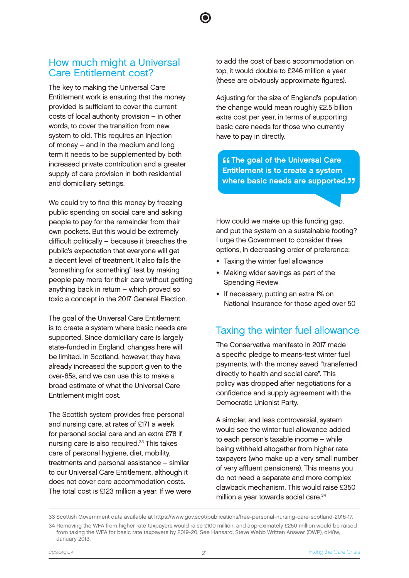#### How much might a Universal Care Entitlement cost?

The key to making the Universal Care Entitlement work is ensuring that the money provided is sufficient to cover the current costs of local authority provision – in other words, to cover the transition from new system to old. This requires an injection of money – and in the medium and long term it needs to be supplemented by both increased private contribution and a greater supply of care provision in both residential and domiciliary settings.

We could try to find this money by freezing public spending on social care and asking people to pay for the remainder from their own pockets. But this would be extremely difficult politically – because it breaches the public's expectation that everyone will get a decent level of treatment. It also fails the "something for something" test by making people pay more for their care without getting anything back in return – which proved so toxic a concept in the 2017 General Election.

The goal of the Universal Care Entitlement is to create a system where basic needs are supported. Since domiciliary care is largely state-funded in England, changes here will be limited. In Scotland, however, they have already increased the support given to the over-65s, and we can use this to make a broad estimate of what the Universal Care Entitlement might cost.

The Scottish system provides free personal and nursing care, at rates of £171 a week for personal social care and an extra £78 if nursing care is also required.<sup>33</sup> This takes care of personal hygiene, diet, mobility, treatments and personal assistance – similar to our Universal Care Entitlement, although it does not cover core accommodation costs. The total cost is £123 million a year. If we were to add the cost of basic accommodation on top, it would double to £246 million a year (these are obviously approximate figures).

Adjusting for the size of England's population the change would mean roughly £2.5 billion extra cost per year, in terms of supporting basic care needs for those who currently have to pay in directly.

**"** The goal of the Universal Care<br>Entitlement is to create a system<br>where hosis needs are sympatted Entitlement is to create a system where basic needs are supported."

How could we make up this funding gap, and put the system on a sustainable footing? I urge the Government to consider three options, in decreasing order of preference:

- Taxing the winter fuel allowance
- Making wider savings as part of the Spending Review
- If necessary, putting an extra 1% on National Insurance for those aged over 50

#### Taxing the winter fuel allowance

The Conservative manifesto in 2017 made a specific pledge to means-test winter fuel payments, with the money saved "transferred directly to health and social care". This policy was dropped after negotiations for a confidence and supply agreement with the Democratic Unionist Party.

A simpler, and less controversial, system would see the winter fuel allowance added to each person's taxable income – while being withheld altogether from higher rate taxpayers (who make up a very small number of very affluent pensioners). This means you do not need a separate and more complex clawback mechanism. This would raise £350 million a year towards social care.<sup>34</sup>

<sup>33</sup> Scottish Government data available at https://www.gov.scot/publications/free-personal-nursing-care-scotland-2016-17. 34 Removing the WFA from higher rate taxpayers would raise £100 million, and approximately £250 million would be raised from taxing the WFA for basic rate taxpayers by 2019-20. See Hansard, Steve Webb Written Answer (DWP), c148w, January 2013.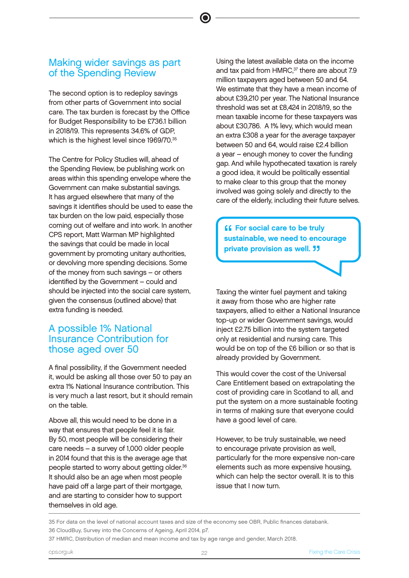#### Making wider savings as part of the Spending Review

The second option is to redeploy savings from other parts of Government into social care. The tax burden is forecast by the Office for Budget Responsibility to be £736.1 billion in 2018/19. This represents 34.6% of GDP, which is the highest level since 1969/70.<sup>35</sup>

The Centre for Policy Studies will, ahead of the Spending Review, be publishing work on areas within this spending envelope where the Government can make substantial savings. It has argued elsewhere that many of the savings it identifies should be used to ease the tax burden on the low paid, especially those coming out of welfare and into work. In another CPS report, Matt Warman MP highlighted the savings that could be made in local government by promoting unitary authorities, or devolving more spending decisions. Some of the money from such savings – or others identified by the Government – could and should be injected into the social care system, given the consensus (outlined above) that extra funding is needed.

#### A possible 1% National Insurance Contribution for those aged over 50

A final possibility, if the Government needed it, would be asking all those over 50 to pay an extra 1% National Insurance contribution. This is very much a last resort, but it should remain on the table.

Above all, this would need to be done in a way that ensures that people feel it is fair. By 50, most people will be considering their care needs – a survey of 1,000 older people in 2014 found that this is the average age that people started to worry about getting older.36 It should also be an age when most people have paid off a large part of their mortgage, and are starting to consider how to support themselves in old age.

Using the latest available data on the income and tax paid from HMRC,<sup>37</sup> there are about 7.9 million taxpayers aged between 50 and 64. We estimate that they have a mean income of about £39,210 per year. The National Insurance threshold was set at £8,424 in 2018/19, so the mean taxable income for these taxpayers was about £30,786. A 1% levy, which would mean an extra £308 a year for the average taxpayer between 50 and 64, would raise £2.4 billion a year – enough money to cover the funding gap. And while hypothecated taxation is rarely a good idea, it would be politically essential to make clear to this group that the money involved was going solely and directly to the care of the elderly, including their future selves.

**"** For social care to be truly<br>sustainable, we need to encourage **ff** For social care to be truly private provision as well. **11** 

Taxing the winter fuel payment and taking it away from those who are higher rate taxpayers, allied to either a National Insurance top-up or wider Government savings, would inject £2.75 billion into the system targeted only at residential and nursing care. This would be on top of the £6 billion or so that is already provided by Government.

This would cover the cost of the Universal Care Entitlement based on extrapolating the cost of providing care in Scotland to all, and put the system on a more sustainable footing in terms of making sure that everyone could have a good level of care.

However, to be truly sustainable, we need to encourage private provision as well, particularly for the more expensive non-care elements such as more expensive housing, which can help the sector overall. It is to this issue that I now turn.

35 For data on the level of national account taxes and size of the economy see OBR, Public finances databank. 36 CloudBuy, Survey into the Concerns of Ageing, April 2014, p7.

37 HMRC, Distribution of median and mean income and tax by age range and gender, March 2018.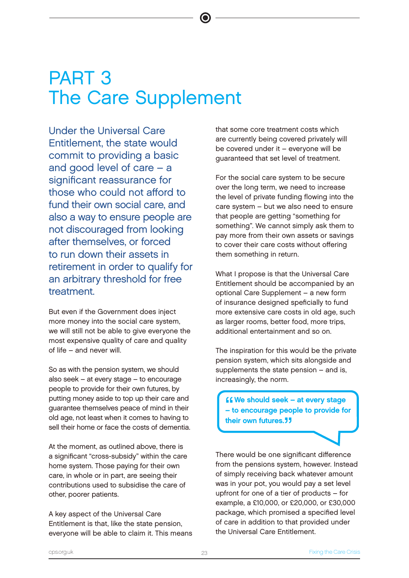## PART 3 The Care Supplement

Under the Universal Care Entitlement, the state would commit to providing a basic and good level of care – a significant reassurance for those who could not afford to fund their own social care, and also a way to ensure people are not discouraged from looking after themselves, or forced to run down their assets in retirement in order to qualify for an arbitrary threshold for free treatment.

But even if the Government does inject more money into the social care system, we will still not be able to give everyone the most expensive quality of care and quality of life – and never will.

So as with the pension system, we should also seek – at every stage – to encourage people to provide for their own futures, by putting money aside to top up their care and guarantee themselves peace of mind in their old age, not least when it comes to having to sell their home or face the costs of dementia.

At the moment, as outlined above, there is a significant "cross-subsidy" within the care home system. Those paying for their own care, in whole or in part, are seeing their contributions used to subsidise the care of other, poorer patients.

A key aspect of the Universal Care Entitlement is that, like the state pension, everyone will be able to claim it. This means that some core treatment costs which are currently being covered privately will be covered under it – everyone will be guaranteed that set level of treatment.

For the social care system to be secure over the long term, we need to increase the level of private funding flowing into the care system – but we also need to ensure that people are getting "something for something". We cannot simply ask them to pay more from their own assets or savings to cover their care costs without offering them something in return.

What I propose is that the Universal Care Entitlement should be accompanied by an optional Care Supplement – a new form of insurance designed speficially to fund more extensive care costs in old age, such as larger rooms, better food, more trips, additional entertainment and so on.

The inspiration for this would be the private pension system, which sits alongside and supplements the state pension – and is, increasingly, the norm.

**" COM COMP SHOULD SEE A** FOR SHOW STATE TO PROVIDE for the stage of the stage of the stage of the stage of the stage stage  $\blacksquare$ **ff We should seek - at every stage** their own futures.<sup>"</sup>

There would be one significant difference from the pensions system, however. Instead of simply receiving back whatever amount was in your pot, you would pay a set level upfront for one of a tier of products – for example, a £10,000, or £20,000, or £30,000 package, which promised a specified level of care in addition to that provided under the Universal Care Entitlement.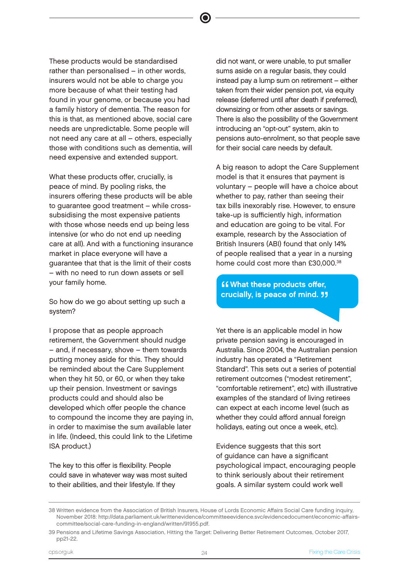These products would be standardised rather than personalised – in other words, insurers would not be able to charge you more because of what their testing had found in your genome, or because you had a family history of dementia. The reason for this is that, as mentioned above, social care needs are unpredictable. Some people will not need any care at all – others, especially those with conditions such as dementia, will need expensive and extended support.

What these products offer, crucially, is peace of mind. By pooling risks, the insurers offering these products will be able to guarantee good treatment – while crosssubsidising the most expensive patients with those whose needs end up being less intensive (or who do not end up needing care at all). And with a functioning insurance market in place everyone will have a guarantee that that is the limit of their costs – with no need to run down assets or sell your family home.

So how do we go about setting up such a system?

I propose that as people approach retirement, the Government should nudge – and, if necessary, shove – them towards putting money aside for this. They should be reminded about the Care Supplement when they hit 50, or 60, or when they take up their pension. Investment or savings products could and should also be developed which offer people the chance to compound the income they are paying in, in order to maximise the sum available later in life. (Indeed, this could link to the Lifetime ISA product.)

The key to this offer is flexibility. People could save in whatever way was most suited to their abilities, and their lifestyle. If they

did not want, or were unable, to put smaller sums aside on a regular basis, they could instead pay a lump sum on retirement – either taken from their wider pension pot, via equity release (deferred until after death if preferred), downsizing or from other assets or savings. There is also the possibility of the Government introducing an "opt-out" system, akin to pensions auto-enrolment, so that people save for their social care needs by default.

A big reason to adopt the Care Supplement model is that it ensures that payment is voluntary – people will have a choice about whether to pay, rather than seeing their tax bills inexorably rise. However, to ensure take-up is sufficiently high, information and education are going to be vital. For example, research by the Association of British Insurers (ABI) found that only 14% of people realised that a year in a nursing home could cost more than £30,000.<sup>38</sup>

#### "<br>Cri **ff What these products offer,** crucially, is peace of mind. <mark>"</mark>

Yet there is an applicable model in how private pension saving is encouraged in Australia. Since 2004, the Australian pension industry has operated a "Retirement Standard". This sets out a series of potential retirement outcomes ("modest retirement", "comfortable retirement", etc) with illustrative examples of the standard of living retirees can expect at each income level (such as whether they could afford annual foreign holidays, eating out once a week, etc).

Evidence suggests that this sort of guidance can have a significant psychological impact, encouraging people to think seriously about their retirement goals. A similar system could work well

<sup>38</sup> Written evidence from the Association of British Insurers, House of Lords Economic Affairs Social Care funding inquiry, November 2018: http://data.parliament.uk/writtenevidence/committeeevidence.svc/evidencedocument/economic-affairscommittee/social-care-funding-in-england/written/91955.pdf.

<sup>39</sup> Pensions and Lifetime Savings Association, Hitting the Target: Delivering Better Retirement Outcomes, October 2017, pp21-22.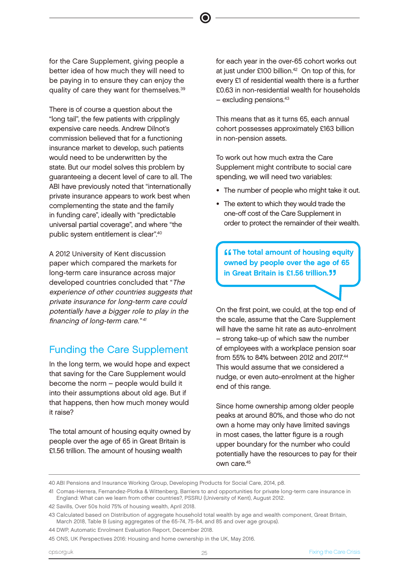for the Care Supplement, giving people a better idea of how much they will need to be paying in to ensure they can enjoy the quality of care they want for themselves.39

There is of course a question about the "long tail", the few patients with cripplingly expensive care needs. Andrew Dilnot's commission believed that for a functioning insurance market to develop, such patients would need to be underwritten by the state. But our model solves this problem by guaranteeing a decent level of care to all. The ABI have previously noted that "internationally private insurance appears to work best when complementing the state and the family in funding care", ideally with "predictable universal partial coverage", and where "the public system entitlement is clear".40

A 2012 University of Kent discussion paper which compared the markets for long-term care insurance across major developed countries concluded that *"*The experience of other countries suggests that private insurance for long-term care could potentially have a bigger role to play in the financing of long-term care." <sup>41</sup>

#### Funding the Care Supplement

In the long term, we would hope and expect that saving for the Care Supplement would become the norm – people would build it into their assumptions about old age. But if that happens, then how much money would it raise?

The total amount of housing equity owned by people over the age of 65 in Great Britain is £1.56 trillion. The amount of housing wealth

for each year in the over-65 cohort works out at just under £100 billion.42 On top of this, for every £1 of residential wealth there is a further £0.63 in non-residential wealth for households  $-$  excluding pensions. $43$ 

This means that as it turns 65, each annual cohort possesses approximately £163 billion in non-pension assets.

To work out how much extra the Care Supplement might contribute to social care spending, we will need two variables:

- The number of people who might take it out.
- The extent to which they would trade the one-off cost of the Care Supplement in order to protect the remainder of their wealth.

**CCThe total amount of housing equity**<br>
owned by people over the age of 65<br>
in Orest Pritain is 01.50 trillian **... ff** The total amount of housing equity in Great Britain is £1.56 trillion.<sup>"</sup>

On the first point, we could, at the top end of the scale, assume that the Care Supplement will have the same hit rate as auto-enrolment – strong take-up of which saw the number of employees with a workplace pension soar from 55% to 84% between 2012 and 2017.44 This would assume that we considered a nudge, or even auto-enrolment at the higher end of this range.

Since home ownership among older people peaks at around 80%, and those who do not own a home may only have limited savings in most cases, the latter figure is a rough upper boundary for the number who could potentially have the resources to pay for their own care.45

41 Comas-Herrera, Fernandez-Plotka & Wittenberg, Barriers to and opportunities for private long-term care insurance in England: What can we learn from other countries?, PSSRU (University of Kent), August 2012.

<sup>40</sup> ABI Pensions and Insurance Working Group, Developing Products for Social Care, 2014, p8.

<sup>42</sup> Savills, Over 50s hold 75% of housing wealth, April 2018.

<sup>43</sup> Calculated based on Distribution of aggregate household total wealth by age and wealth component, Great Britain, March 2018, Table B (using aggregates of the 65-74, 75-84, and 85 and over age groups).

<sup>44</sup> DWP, Automatic Enrolment Evaluation Report, December 2018.

<sup>45</sup> ONS, UK Perspectives 2016: Housing and home ownership in the UK, May 2016.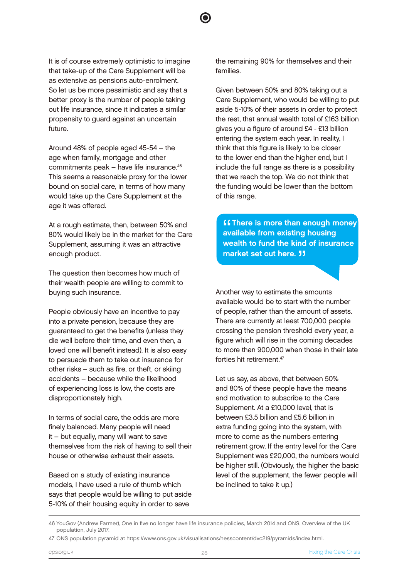It is of course extremely optimistic to imagine that take-up of the Care Supplement will be as extensive as pensions auto-enrolment. So let us be more pessimistic and say that a better proxy is the number of people taking out life insurance, since it indicates a similar propensity to guard against an uncertain future.

Around 48% of people aged 45-54 – the age when family, mortgage and other commitments peak – have life insurance.46 This seems a reasonable proxy for the lower bound on social care, in terms of how many would take up the Care Supplement at the age it was offered.

At a rough estimate, then, between 50% and 80% would likely be in the market for the Care Supplement, assuming it was an attractive enough product.

The question then becomes how much of their wealth people are willing to commit to buying such insurance.

People obviously have an incentive to pay into a private pension, because they are guaranteed to get the benefits (unless they die well before their time, and even then, a loved one will benefit instead). It is also easy to persuade them to take out insurance for other risks – such as fire, or theft, or skiing accidents – because while the likelihood of experiencing loss is low, the costs are disproportionately high.

In terms of social care, the odds are more finely balanced. Many people will need it – but equally, many will want to save themselves from the risk of having to sell their house or otherwise exhaust their assets.

Based on a study of existing insurance models, I have used a rule of thumb which says that people would be willing to put aside 5-10% of their housing equity in order to save

the remaining 90% for themselves and their families.

Given between 50% and 80% taking out a Care Supplement, who would be willing to put aside 5-10% of their assets in order to protect the rest, that annual wealth total of £163 billion gives you a figure of around £4 - £13 billion entering the system each year. In reality, I think that this figure is likely to be closer to the lower end than the higher end, but I include the full range as there is a possibility that we reach the top. We do not think that the funding would be lower than the bottom of this range.

**SC There is more than enough m**<br>available from existing housing<br>wealth to find the kind of incurs **ff There is more than enough money** wealth to fund the kind of insurance market set out here. **JJ** 

Another way to estimate the amounts available would be to start with the number of people, rather than the amount of assets. There are currently at least 700,000 people crossing the pension threshold every year, a figure which will rise in the coming decades to more than 900,000 when those in their late forties hit retirement<sup>47</sup>

Let us say, as above, that between 50% and 80% of these people have the means and motivation to subscribe to the Care Supplement. At a £10,000 level, that is between £3.5 billion and £5.6 billion in extra funding going into the system, with more to come as the numbers entering retirement grow. If the entry level for the Care Supplement was £20,000, the numbers would be higher still. (Obviously, the higher the basic level of the supplement, the fewer people will be inclined to take it up.)

<sup>46</sup> YouGov (Andrew Farmer), One in five no longer have life insurance policies, March 2014 and ONS, Overview of the UK population, July 2017.

<sup>47</sup> ONS population pyramid at https://www.ons.gov.uk/visualisations/nesscontent/dvc219/pyramids/index.html.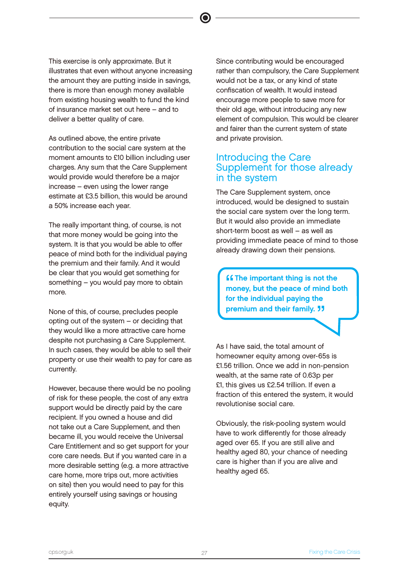This exercise is only approximate. But it illustrates that even without anyone increasing the amount they are putting inside in savings, there is more than enough money available from existing housing wealth to fund the kind of insurance market set out here – and to deliver a better quality of care.

As outlined above, the entire private contribution to the social care system at the moment amounts to £10 billion including user charges. Any sum that the Care Supplement would provide would therefore be a major increase – even using the lower range estimate at £3.5 billion, this would be around a 50% increase each year.

The really important thing, of course, is not that more money would be going into the system. It is that you would be able to offer peace of mind both for the individual paying the premium and their family. And it would be clear that you would get something for something – you would pay more to obtain more.

None of this, of course, precludes people opting out of the system – or deciding that they would like a more attractive care home despite not purchasing a Care Supplement. In such cases, they would be able to sell their property or use their wealth to pay for care as currently.

However, because there would be no pooling of risk for these people, the cost of any extra support would be directly paid by the care recipient. If you owned a house and did not take out a Care Supplement, and then became ill, you would receive the Universal Care Entitlement and so get support for your core care needs. But if you wanted care in a more desirable setting (e.g. a more attractive care home, more trips out, more activities on site) then you would need to pay for this entirely yourself using savings or housing equity.

Since contributing would be encouraged rather than compulsory, the Care Supplement would not be a tax, or any kind of state confiscation of wealth. It would instead encourage more people to save more for their old age, without introducing any new element of compulsion. This would be clearer and fairer than the current system of state and private provision.

#### Introducing the Care Supplement for those already in the system

The Care Supplement system, once introduced, would be designed to sustain the social care system over the long term. But it would also provide an immediate short-term boost as well – as well as providing immediate peace of mind to those already drawing down their pensions.

**"** The important thing is not the money, but the peace of mind be money, but the peace of mind both for the individual paying the premium and their family. **"** 

As I have said, the total amount of homeowner equity among over-65s is £1.56 trillion. Once we add in non-pension wealth, at the same rate of 0.63p per £1, this gives us £2.54 trillion. If even a fraction of this entered the system, it would revolutionise social care.

Obviously, the risk-pooling system would have to work differently for those already aged over 65. If you are still alive and healthy aged 80, your chance of needing care is higher than if you are alive and healthy aged 65.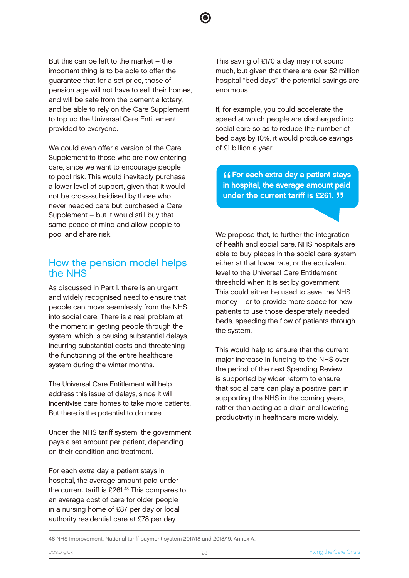But this can be left to the market – the important thing is to be able to offer the guarantee that for a set price, those of pension age will not have to sell their homes, and will be safe from the dementia lottery, and be able to rely on the Care Supplement to top up the Universal Care Entitlement provided to everyone.

We could even offer a version of the Care Supplement to those who are now entering care, since we want to encourage people to pool risk. This would inevitably purchase a lower level of support, given that it would not be cross-subsidised by those who never needed care but purchased a Care Supplement – but it would still buy that same peace of mind and allow people to pool and share risk.

#### How the pension model helps the NHS

As discussed in Part 1, there is an urgent and widely recognised need to ensure that people can move seamlessly from the NHS into social care. There is a real problem at the moment in getting people through the system, which is causing substantial delays, incurring substantial costs and threatening the functioning of the entire healthcare system during the winter months.

The Universal Care Entitlement will help address this issue of delays, since it will incentivise care homes to take more patients. But there is the potential to do more.

Under the NHS tariff system, the government pays a set amount per patient, depending on their condition and treatment.

For each extra day a patient stays in hospital, the average amount paid under the current tariff is £261.48 This compares to an average cost of care for older people in a nursing home of £87 per day or local authority residential care at £78 per day.

This saving of £170 a day may not sound much, but given that there are over 52 million hospital "bed days", the potential savings are enormous.

If, for example, you could accelerate the speed at which people are discharged into social care so as to reduce the number of bed days by 10%, it would produce savings of £1 billion a year.

**ff** For each extra day a patient stays<br>in hospital, the average amount paid **ff** For each extra day a patient stays under the current tariff is  $£261.$  JJ

We propose that, to further the integration of health and social care, NHS hospitals are able to buy places in the social care system either at that lower rate, or the equivalent level to the Universal Care Entitlement threshold when it is set by government. This could either be used to save the NHS money – or to provide more space for new patients to use those desperately needed beds, speeding the flow of patients through the system.

This would help to ensure that the current major increase in funding to the NHS over the period of the next Spending Review is supported by wider reform to ensure that social care can play a positive part in supporting the NHS in the coming years, rather than acting as a drain and lowering productivity in healthcare more widely.

48 NHS Improvement, National tariff payment system 2017/18 and 2018/19, Annex A.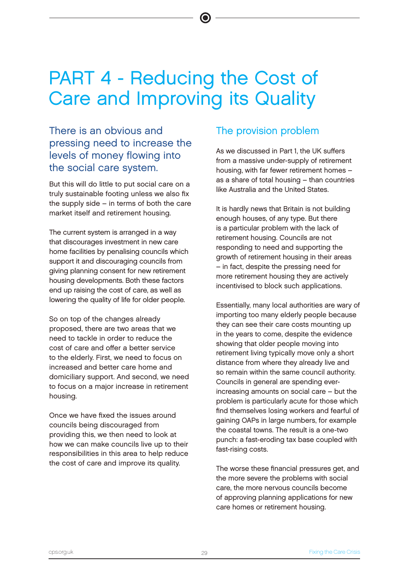## PART 4 - Reducing the Cost of Care and Improving its Quality

#### There is an obvious and pressing need to increase the levels of money flowing into the social care system.

But this will do little to put social care on a truly sustainable footing unless we also fix the supply side – in terms of both the care market itself and retirement housing.

The current system is arranged in a way that discourages investment in new care home facilities by penalising councils which support it and discouraging councils from giving planning consent for new retirement housing developments. Both these factors end up raising the cost of care, as well as lowering the quality of life for older people.

So on top of the changes already proposed, there are two areas that we need to tackle in order to reduce the cost of care and offer a better service to the elderly. First, we need to focus on increased and better care home and domiciliary support. And second, we need to focus on a major increase in retirement housing.

Once we have fixed the issues around councils being discouraged from providing this, we then need to look at how we can make councils live up to their responsibilities in this area to help reduce the cost of care and improve its quality.

#### The provision problem

As we discussed in Part 1, the UK suffers from a massive under-supply of retirement housing, with far fewer retirement homes – as a share of total housing – than countries like Australia and the United States.

It is hardly news that Britain is not building enough houses, of any type. But there is a particular problem with the lack of retirement housing. Councils are not responding to need and supporting the growth of retirement housing in their areas – in fact, despite the pressing need for more retirement housing they are actively incentivised to block such applications.

Essentially, many local authorities are wary of importing too many elderly people because they can see their care costs mounting up in the years to come, despite the evidence showing that older people moving into retirement living typically move only a short distance from where they already live and so remain within the same council authority. Councils in general are spending everincreasing amounts on social care – but the problem is particularly acute for those which find themselves losing workers and fearful of gaining OAPs in large numbers, for example the coastal towns. The result is a one-two punch: a fast-eroding tax base coupled with fast-rising costs.

The worse these financial pressures get, and the more severe the problems with social care, the more nervous councils become of approving planning applications for new care homes or retirement housing.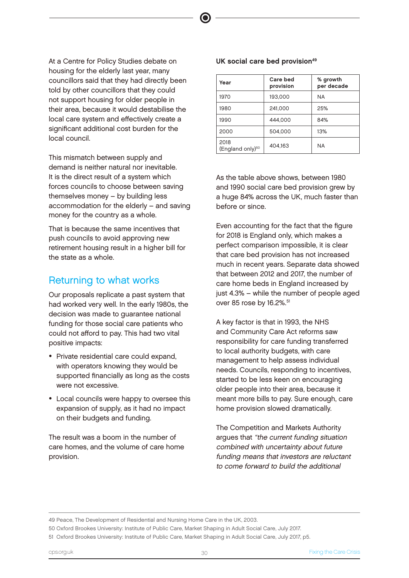At a Centre for Policy Studies debate on housing for the elderly last year, many councillors said that they had directly been told by other councillors that they could not support housing for older people in their area, because it would destabilise the local care system and effectively create a significant additional cost burden for the local council.

This mismatch between supply and demand is neither natural nor inevitable. It is the direct result of a system which forces councils to choose between saving themselves money – by building less accommodation for the elderly – and saving money for the country as a whole.

That is because the same incentives that push councils to avoid approving new retirement housing result in a higher bill for the state as a whole.

#### Returning to what works

Our proposals replicate a past system that had worked very well. In the early 1980s, the decision was made to guarantee national funding for those social care patients who could not afford to pay. This had two vital positive impacts:

- Private residential care could expand, with operators knowing they would be supported financially as long as the costs were not excessive.
- Local councils were happy to oversee this expansion of supply, as it had no impact on their budgets and funding.

The result was a boom in the number of care homes, and the volume of care home provision.

#### UK social care bed provision<sup>49</sup>

| Year                                 | Care bed<br>provision | % growth<br>per decade |
|--------------------------------------|-----------------------|------------------------|
| 1970                                 | 193,000               | ΝA                     |
| 1980                                 | 241,000               | 25%                    |
| 1990                                 | 444.000               | 84%                    |
| 2000                                 | 504,000               | 13%                    |
| 2018<br>(England only) <sup>50</sup> | 404,163               | ΝA                     |

As the table above shows, between 1980 and 1990 social care bed provision grew by a huge 84% across the UK, much faster than before or since.

Even accounting for the fact that the figure for 2018 is England only, which makes a perfect comparison impossible, it is clear that care bed provision has not increased much in recent years. Separate data showed that between 2012 and 2017, the number of care home beds in England increased by just 4.3% – while the number of people aged over 85 rose by 16.2%.<sup>51</sup>

A key factor is that in 1993, the NHS and Community Care Act reforms saw responsibility for care funding transferred to local authority budgets, with care management to help assess individual needs. Councils, responding to incentives, started to be less keen on encouraging older people into their area, because it meant more bills to pay. Sure enough, care home provision slowed dramatically.

The Competition and Markets Authority argues that "the current funding situation combined with uncertainty about future funding means that investors are reluctant to come forward to build the additional

49 Peace, The Development of Residential and Nursing Home Care in the UK, 2003.

<sup>50</sup> Oxford Brookes University: Institute of Public Care, Market Shaping in Adult Social Care, July 2017.

<sup>51</sup> Oxford Brookes University: Institute of Public Care, Market Shaping in Adult Social Care, July 2017, p5.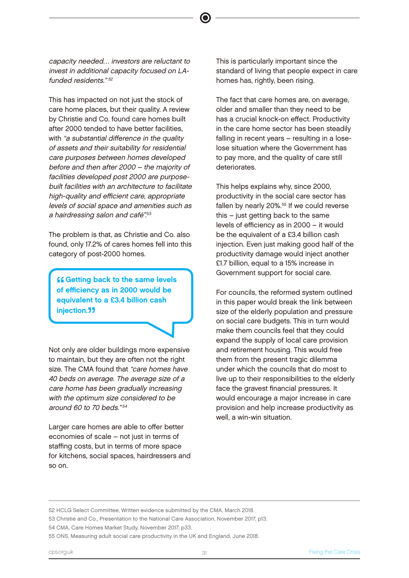capacity needed… investors are reluctant to invest in additional capacity focused on LAfunded residents." $52$ 

This has impacted on not just the stock of care home places, but their quality. A review by Christie and Co. found care homes built after 2000 tended to have better facilities, with "a substantial difference in the quality" of assets and their suitability for residential care purposes between homes developed before and then after 2000 – the majority of facilities developed post 2000 are purposebuilt facilities with an architecture to facilitate high-quality and efficient care, appropriate levels of social space and amenities such as a hairdressing salon and café". 53

The problem is that, as Christie and Co. also found, only 17.2% of cares homes fell into this category of post-2000 homes.

**Constitution Constitution Constitution Constitution Constitution Constitution Constitution Constitution Constitution Constitution Constitution Constitution Constitution Constitution Constitution Constitution Constitution ff Getting back to the same levels** equivalent to a £3.4 billion cash injection.<sup>77</sup>

Not only are older buildings more expensive to maintain, but they are often not the right size. The CMA found that "care homes have 40 beds on average. The average size of a care home has been gradually increasing with the optimum size considered to be around 60 to 70 beds."<sup>54</sup>

Larger care homes are able to offer better economies of scale – not just in terms of staffing costs, but in terms of more space for kitchens, social spaces, hairdressers and so on.

This is particularly important since the standard of living that people expect in care homes has, rightly, been rising.

The fact that care homes are, on average, older and smaller than they need to be has a crucial knock-on effect. Productivity in the care home sector has been steadily falling in recent years – resulting in a loselose situation where the Government has to pay more, and the quality of care still deteriorates.

This helps explains why, since 2000, productivity in the social care sector has fallen by nearly 20%.<sup>55</sup> If we could reverse this – just getting back to the same levels of efficiency as in 2000 – it would be the equivalent of a £3.4 billion cash injection. Even just making good half of the productivity damage would inject another £1.7 billion, equal to a 15% increase in Government support for social care.

For councils, the reformed system outlined in this paper would break the link between size of the elderly population and pressure on social care budgets. This in turn would make them councils feel that they could expand the supply of local care provision and retirement housing. This would free them from the present tragic dilemma under which the councils that do most to live up to their responsibilities to the elderly face the gravest financial pressures. It would encourage a major increase in care provision and help increase productivity as well, a win-win situation.

52 HCLG Select Committee, Written evidence submitted by the CMA, March 2018.

53 Christie and Co., Presentation to the National Care Association, November 2017, p13.

54 CMA, Care Homes Market Study, November 2017, p33.

55 ONS, Measuring adult social care productivity in the UK and England, June 2018.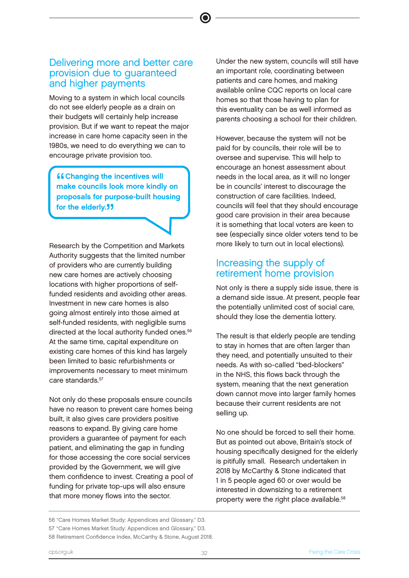#### Delivering more and better care provision due to guaranteed and higher payments

Moving to a system in which local councils do not see elderly people as a drain on their budgets will certainly help increase provision. But if we want to repeat the major increase in care home capacity seen in the 1980s, we need to do everything we can to encourage private provision too.

**"** Changing the incentives will<br>make councils look more kindly make councils look more kindly on proposals for purpose-built housing for the elderly.<sup>"</sup>

Research by the Competition and Markets Authority suggests that the limited number of providers who are currently building new care homes are actively choosing locations with higher proportions of selffunded residents and avoiding other areas. Investment in new care homes is also going almost entirely into those aimed at self-funded residents, with negligible sums directed at the local authority funded ones.<sup>56</sup> At the same time, capital expenditure on existing care homes of this kind has largely been limited to basic refurbishments or improvements necessary to meet minimum care standards<sup>57</sup>

Not only do these proposals ensure councils have no reason to prevent care homes being built, it also gives care providers positive reasons to expand. By giving care home providers a guarantee of payment for each patient, and eliminating the gap in funding for those accessing the core social services provided by the Government, we will give them confidence to invest. Creating a pool of funding for private top-ups will also ensure that more money flows into the sector.

56 "Care Homes Market Study: Appendices and Glossary," D3. 57 "Care Homes Market Study: Appendices and Glossary," D3. 58 Retirement Confidence Index, McCarthy & Stone, August 2018.

Under the new system, councils will still have an important role, coordinating between patients and care homes, and making available online CQC reports on local care homes so that those having to plan for this eventuality can be as well informed as parents choosing a school for their children.

However, because the system will not be paid for by councils, their role will be to oversee and supervise. This will help to encourage an honest assessment about needs in the local area, as it will no longer be in councils' interest to discourage the construction of care facilities. Indeed, councils will feel that they should encourage good care provision in their area because it is something that local voters are keen to see (especially since older voters tend to be more likely to turn out in local elections).

#### Increasing the supply of retirement home provision

Not only is there a supply side issue, there is a demand side issue. At present, people fear the potentially unlimited cost of social care, should they lose the dementia lottery.

The result is that elderly people are tending to stay in homes that are often larger than they need, and potentially unsuited to their needs. As with so-called "bed-blockers" in the NHS, this flows back through the system, meaning that the next generation down cannot move into larger family homes because their current residents are not selling up.

No one should be forced to sell their home. But as pointed out above, Britain's stock of housing specifically designed for the elderly is pitifully small. Research undertaken in 2018 by McCarthy & Stone indicated that 1 in 5 people aged 60 or over would be interested in downsizing to a retirement property were the right place available.<sup>58</sup>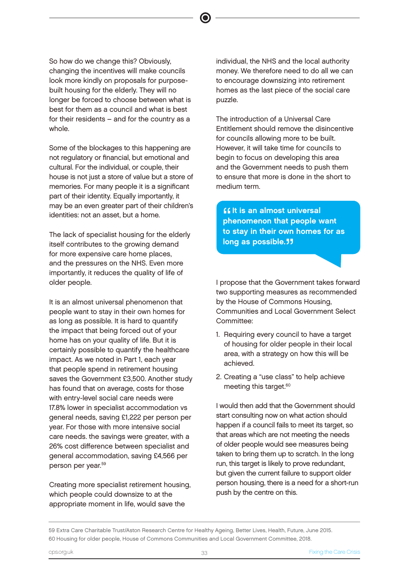So how do we change this? Obviously, changing the incentives will make councils look more kindly on proposals for purposebuilt housing for the elderly. They will no longer be forced to choose between what is best for them as a council and what is best for their residents – and for the country as a whole.

Some of the blockages to this happening are not regulatory or financial, but emotional and cultural. For the individual, or couple, their house is not just a store of value but a store of memories. For many people it is a significant part of their identity. Equally importantly, it may be an even greater part of their children's identities: not an asset, but a home.

The lack of specialist housing for the elderly itself contributes to the growing demand for more expensive care home places, and the pressures on the NHS. Even more importantly, it reduces the quality of life of older people.

It is an almost universal phenomenon that people want to stay in their own homes for as long as possible. It is hard to quantify the impact that being forced out of your home has on your quality of life. But it is certainly possible to quantify the healthcare impact. As we noted in Part 1, each year that people spend in retirement housing saves the Government £3,500. Another study has found that on average, costs for those with entry-level social care needs were 17.8% lower in specialist accommodation vs general needs, saving £1,222 per person per year. For those with more intensive social care needs. the savings were greater, with a 26% cost difference between specialist and general accommodation, saving £4,566 per person per year.59

Creating more specialist retirement housing, which people could downsize to at the appropriate moment in life, would save the

individual, the NHS and the local authority money. We therefore need to do all we can to encourage downsizing into retirement homes as the last piece of the social care puzzle.

The introduction of a Universal Care Entitlement should remove the disincentive for councils allowing more to be built. However, it will take time for councils to begin to focus on developing this area and the Government needs to push them to ensure that more is done in the short to medium term.

**Solut is an almost universal<br>phenomenon that people want If it is an almost universal** to stay in their own homes for as long as possible.<sup>"</sup>

I propose that the Government takes forward two supporting measures as recommended by the House of Commons Housing, Communities and Local Government Select Committee:

- 1. Requiring every council to have a target of housing for older people in their local area, with a strategy on how this will be achieved.
- 2. Creating a "use class" to help achieve meeting this target.<sup>60</sup>

I would then add that the Government should start consulting now on what action should happen if a council fails to meet its target, so that areas which are not meeting the needs of older people would see measures being taken to bring them up to scratch. In the long run, this target is likely to prove redundant, but given the current failure to support older person housing, there is a need for a short-run push by the centre on this.

59 Extra Care Charitable Trust/Aston Research Centre for Healthy Ageing, Better Lives, Health, Future, June 2015. 60 Housing for older people, House of Commons Communities and Local Government Committee, 2018.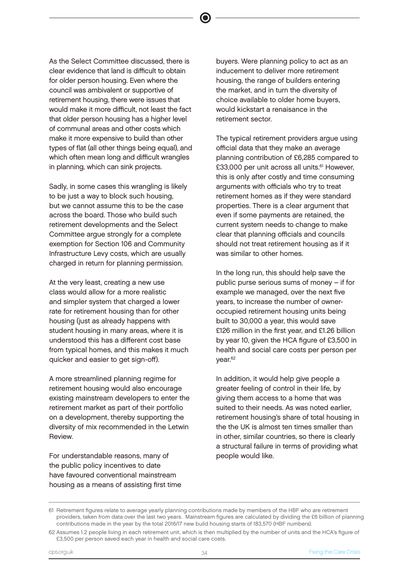As the Select Committee discussed, there is clear evidence that land is difficult to obtain for older person housing. Even where the council was ambivalent or supportive of retirement housing, there were issues that would make it more difficult, not least the fact that older person housing has a higher level of communal areas and other costs which make it more expensive to build than other types of flat (all other things being equal), and which often mean long and difficult wrangles in planning, which can sink projects.

Sadly, in some cases this wrangling is likely to be just a way to block such housing, but we cannot assume this to be the case across the board. Those who build such retirement developments and the Select Committee argue strongly for a complete exemption for Section 106 and Community Infrastructure Levy costs, which are usually charged in return for planning permission.

At the very least, creating a new use class would allow for a more realistic and simpler system that charged a lower rate for retirement housing than for other housing (just as already happens with student housing in many areas, where it is understood this has a different cost base from typical homes, and this makes it much quicker and easier to get sign-off).

A more streamlined planning regime for retirement housing would also encourage existing mainstream developers to enter the retirement market as part of their portfolio on a development, thereby supporting the diversity of mix recommended in the Letwin Review.

For understandable reasons, many of the public policy incentives to date have favoured conventional mainstream housing as a means of assisting first time

buyers. Were planning policy to act as an inducement to deliver more retirement housing, the range of builders entering the market, and in turn the diversity of choice available to older home buyers, would kickstart a renaisance in the retirement sector.

The typical retirement providers argue using official data that they make an average planning contribution of £6,285 compared to £33,000 per unit across all units.<sup>61</sup> However, this is only after costly and time consuming arguments with officials who try to treat retirement homes as if they were standard properties. There is a clear argument that even if some payments are retained, the current system needs to change to make clear that planning officials and councils should not treat retirement housing as if it was similar to other homes.

In the long run, this should help save the public purse serious sums of money – if for example we managed, over the next five years, to increase the number of owneroccupied retirement housing units being built to 30,000 a year, this would save £126 million in the first year, and £1.26 billion by year 10, given the HCA figure of £3,500 in health and social care costs per person per year.62

In addition, it would help give people a greater feeling of control in their life, by giving them access to a home that was suited to their needs. As was noted earlier, retirement housing's share of total housing in the the UK is almost ten times smaller than in other, similar countries, so there is clearly a structural failure in terms of providing what people would like.

<sup>61</sup> Retirement figures relate to average yearly planning contributions made by members of the HBF who are retirement providers, taken from data over the last two years. Mainstream figures are calculated by dividing the £6 billion of planning contributions made in the year by the total 2016/17 new build housing starts of 183,570 (HBF numbers).

<sup>62</sup> Assumes 1.2 people living in each retirement unit, which is then multiplied by the number of units and the HCA's figure of £3,500 per person saved each year in health and social care costs.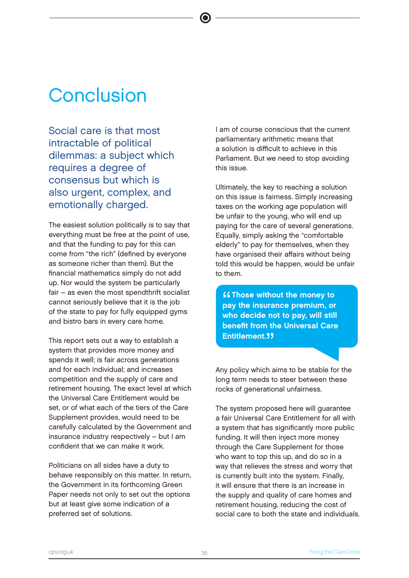## **Conclusion**

Social care is that most intractable of political dilemmas: a subject which requires a degree of consensus but which is also urgent, complex, and emotionally charged.

The easiest solution politically is to say that everything must be free at the point of use, and that the funding to pay for this can come from "the rich" (defined by everyone as someone richer than them). But the financial mathematics simply do not add up. Nor would the system be particularly fair – as even the most spendthrift socialist cannot seriously believe that it is the job of the state to pay for fully equipped gyms and bistro bars in every care home.

This report sets out a way to establish a system that provides more money and spends it well; is fair across generations and for each individual; and increases competition and the supply of care and retirement housing. The exact level at which the Universal Care Entitlement would be set, or of what each of the tiers of the Care Supplement provides, would need to be carefully calculated by the Government and insurance industry respectively – but I am confident that we can make it work.

Politicians on all sides have a duty to behave responsibly on this matter. In return, the Government in its forthcoming Green Paper needs not only to set out the options but at least give some indication of a preferred set of solutions.

I am of course conscious that the current parliamentary arithmetic means that a solution is difficult to achieve in this Parliament. But we need to stop avoiding this issue.

Ultimately, the key to reaching a solution on this issue is fairness. Simply increasing taxes on the working age population will be unfair to the young, who will end up paying for the care of several generations. Equally, simply asking the "comfortable elderly" to pay for themselves, when they have organised their affairs without being told this would be happen, would be unfair to them.

**"** Those without the money to<br>pay the insurance premium, or pay the insurance premium, or who decide not to pay, will still benefit from the Universal Care **Entitlement. 11** 

Any policy which aims to be stable for the long term needs to steer between these rocks of generational unfairness.

The system proposed here will guarantee a fair Universal Care Entitlement for all with a system that has significantly more public funding. It will then inject more money through the Care Supplement for those who want to top this up, and do so in a way that relieves the stress and worry that is currently built into the system. Finally, it will ensure that there is an increase in the supply and quality of care homes and retirement housing, reducing the cost of social care to both the state and individuals.